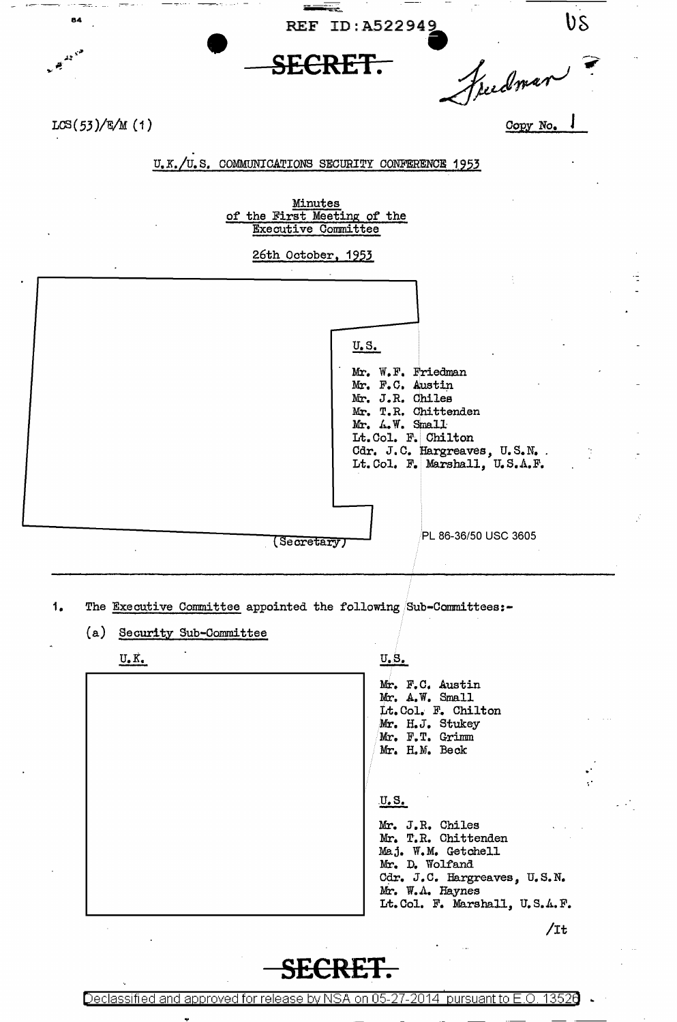REF ID: A522949

÷

**SECRET.** 

freedman

Copy No.

US

 $LCS(53)/E/M(1)$ 

84

 $43.5$  $\mathbf{r}$ 

## . u.x./u.s. COMMUNICATIONS SECURITY CONFERENCE 1953

Minutes of the First Meeting of the Executive Committee

## 26th October, 1953

| U.S.<br>Mr. W.F. Friedman<br>Mr. F.C. Austin<br>Mr. J.R. Chiles<br>Mr. T.R. Chittenden<br>Mr. A.W. Small<br>Lt.Col. F. Chilton<br>Cdr. J.C. Hargreaves, U.S.N.<br>Lt. Col. F. Marshall, U.S.A.F. |
|--------------------------------------------------------------------------------------------------------------------------------------------------------------------------------------------------|
| PL 86-36/50 USC 3605<br>Secretary                                                                                                                                                                |

- 1. The Executive Committee appointed the following Sub-Committees:-
	- (a) Security Sub-Committee

U.K.

<u>U.S.</u>

Mr. F.c. Austin Mr. A. W. Small Lt. Col.· F. Chilton Mr. H.J. Stukey Mr, F.T. Grimm Mr. H.M. Beck

## .u.s.

Mr. J.R. Chiles Mr. T.R. Chittenden Maj, W.M. Getchell Mr. D. Wolfand Cdr. J.C. Hargreaves, U.S.N. Mr. W.A. Haynes Lt.Col. F. Marshall, U,S.A.F.

/It

# **SEC**

Declassified and approved for release by NSA on 05-27-2014 pursuant to E.O. 13526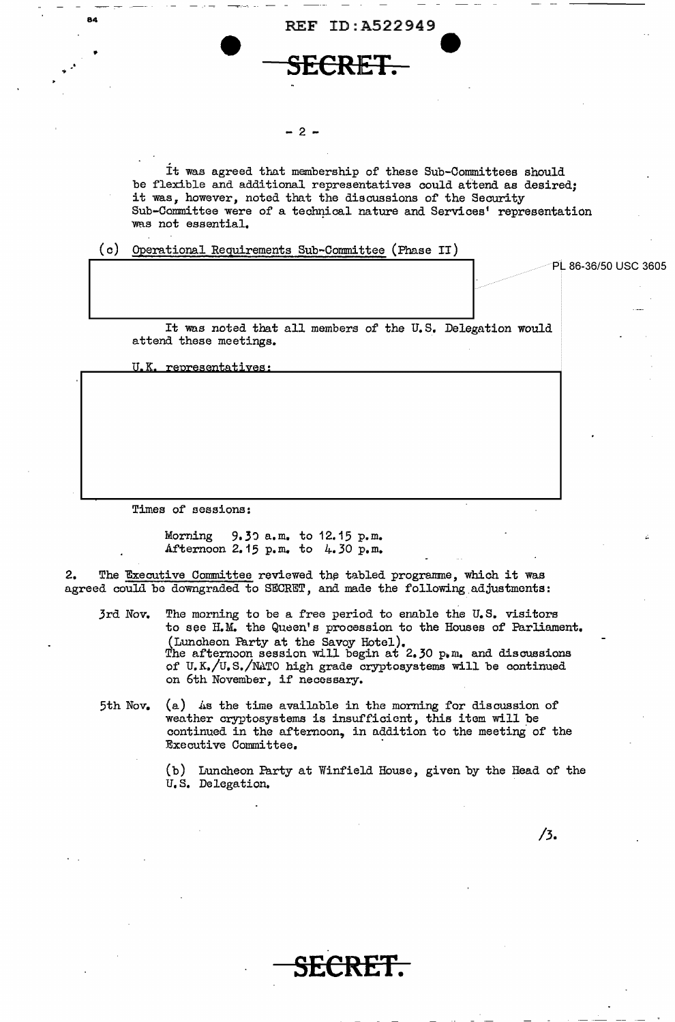



#### $-2 -$

It was agreed that membership of these Sub-Committees should be flexible and additional representatives could attend as desired; it was, however, noted that the discussions of the Security Sub-Committee were of a technical nature and Services' representation was not essential.

(c) Qperational Requirements Sub-Committee (Phase II)

PL 86-36/50 USC 3605 It was noted that all members of the U.S. Delegation would attend these meetings.

U.K. representatives:

 $\cdot$  .

Times of sessions:

Morning 9.30 a.m. to 12.15 p.m. Afternoon 2.15  $p_{\bullet}$  m. to 4.30  $p_{\bullet}$  m.

2. The Executive Committee reviewed the tabled programme, which it was agreed could be downgraded to SECRET, and made the following adjustments:

3rd Nov. The morning to be a free period to enable the U.S. visitors to see H.M. the Queen's procession to the Houses of Parliament. (Luncheon Party at the Savoy Hotel).<br>The afternoon session will begin at 2.30  $p_{\bullet}$  m. and discussions of U.K./U.S./N.ATO high grade cryptosystems will be continued on 6th November, if necossary.

5th Nov.  $(a)$  as the time available in the morning for discussion of weather cryptosystems is insufficient, this item will be continued in the afternoon, in addition to the meeting of the Executive Committee. ·

> (b) Luncheon Party at Winfield House, given by the Head of the u.s. Delegation.

> > **SECRET.**

/3.